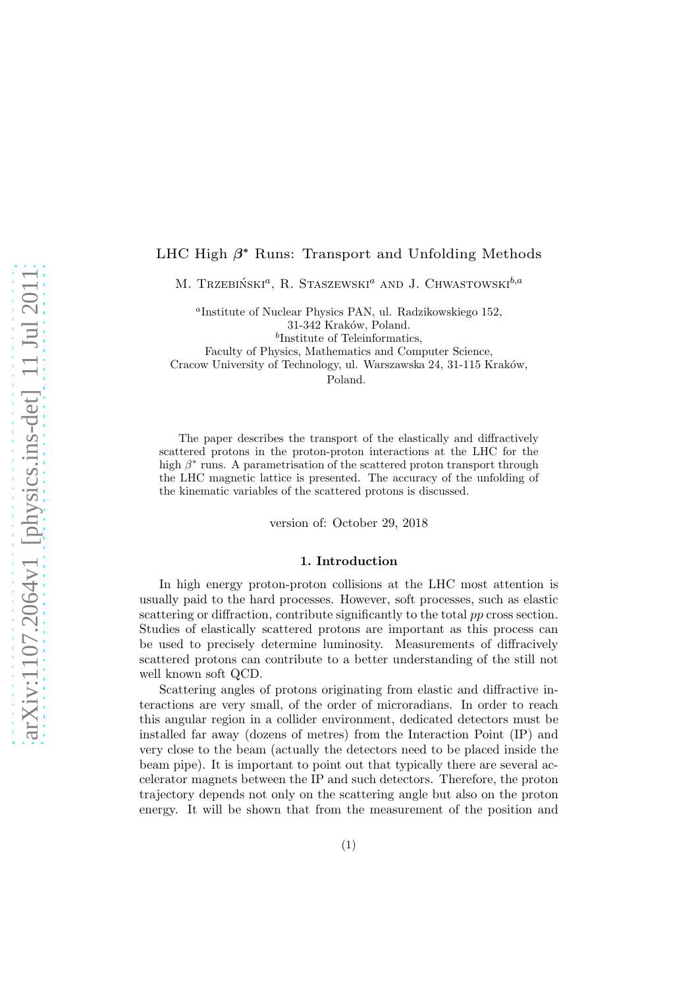# LHC High  $\beta^*$  Runs: Transport and Unfolding Methods

M. Trzebiński<sup> $a$ </sup>, R. Staszewski $^a$  and J. Chwastowski $^{b,a}$ 

a Institute of Nuclear Physics PAN, ul. Radzikowskiego 152, 31-342 Kraków, Poland. b Institute of Teleinformatics, Faculty of Physics, Mathematics and Computer Science,

Cracow University of Technology, ul. Warszawska 24, 31-115 Kraków, Poland.

The paper describes the transport of the elastically and diffractively scattered protons in the proton-proton interactions at the LHC for the high  $\beta^*$  runs. A parametrisation of the scattered proton transport through the LHC magnetic lattice is presented. The accuracy of the unfolding of the kinematic variables of the scattered protons is discussed.

version of: October 29, 2018

#### 1. Introduction

In high energy proton-proton collisions at the LHC most attention is usually paid to the hard processes. However, soft processes, such as elastic scattering or diffraction, contribute significantly to the total pp cross section. Studies of elastically scattered protons are important as this process can be used to precisely determine luminosity. Measurements of diffracively scattered protons can contribute to a better understanding of the still not well known soft QCD.

Scattering angles of protons originating from elastic and diffractive interactions are very small, of the order of microradians. In order to reach this angular region in a collider environment, dedicated detectors must be installed far away (dozens of metres) from the Interaction Point (IP) and very close to the beam (actually the detectors need to be placed inside the beam pipe). It is important to point out that typically there are several accelerator magnets between the IP and such detectors. Therefore, the proton trajectory depends not only on the scattering angle but also on the proton energy. It will be shown that from the measurement of the position and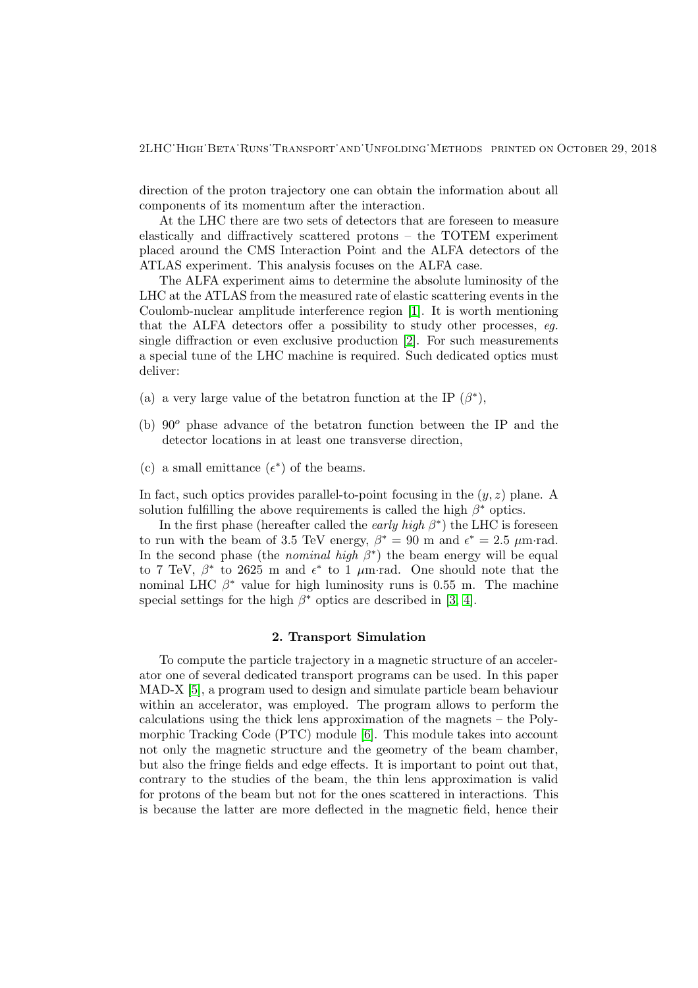2LHC˙High˙Beta˙Runs˙Transport˙and˙Unfolding˙Methods printed on October 29, 2018

direction of the proton trajectory one can obtain the information about all components of its momentum after the interaction.

At the LHC there are two sets of detectors that are foreseen to measure elastically and diffractively scattered protons – the TOTEM experiment placed around the CMS Interaction Point and the ALFA detectors of the ATLAS experiment. This analysis focuses on the ALFA case.

The ALFA experiment aims to determine the absolute luminosity of the LHC at the ATLAS from the measured rate of elastic scattering events in the Coulomb-nuclear amplitude interference region [\[1\]](#page-11-0). It is worth mentioning that the ALFA detectors offer a possibility to study other processes, eg. single diffraction or even exclusive production [\[2\]](#page-11-1). For such measurements a special tune of the LHC machine is required. Such dedicated optics must deliver:

- (a) a very large value of the betatron function at the IP  $(\beta^*)$ ,
- (b)  $90^\circ$  phase advance of the betatron function between the IP and the detector locations in at least one transverse direction,
- (c) a small emittance  $(\epsilon^*)$  of the beams.

In fact, such optics provides parallel-to-point focusing in the  $(y, z)$  plane. A solution fulfilling the above requirements is called the high  $\beta^*$  optics.

In the first phase (hereafter called the *early high*  $\beta^*$ ) the LHC is foreseen to run with the beam of 3.5 TeV energy,  $\beta^* = 90$  m and  $\epsilon^* = 2.5 \mu m \text{ rad}$ . In the second phase (the *nominal high*  $\beta^*$ *)* the beam energy will be equal to 7 TeV,  $\beta^*$  to 2625 m and  $\epsilon^*$  to 1  $\mu$ m·rad. One should note that the nominal LHC  $\beta^*$  value for high luminosity runs is 0.55 m. The machine special settings for the high  $\beta^*$  optics are described in [\[3,](#page-11-2) [4\]](#page-11-3).

#### 2. Transport Simulation

To compute the particle trajectory in a magnetic structure of an accelerator one of several dedicated transport programs can be used. In this paper MAD-X [\[5\]](#page-11-4), a program used to design and simulate particle beam behaviour within an accelerator, was employed. The program allows to perform the calculations using the thick lens approximation of the magnets – the Polymorphic Tracking Code (PTC) module [\[6\]](#page-11-5). This module takes into account not only the magnetic structure and the geometry of the beam chamber, but also the fringe fields and edge effects. It is important to point out that, contrary to the studies of the beam, the thin lens approximation is valid for protons of the beam but not for the ones scattered in interactions. This is because the latter are more deflected in the magnetic field, hence their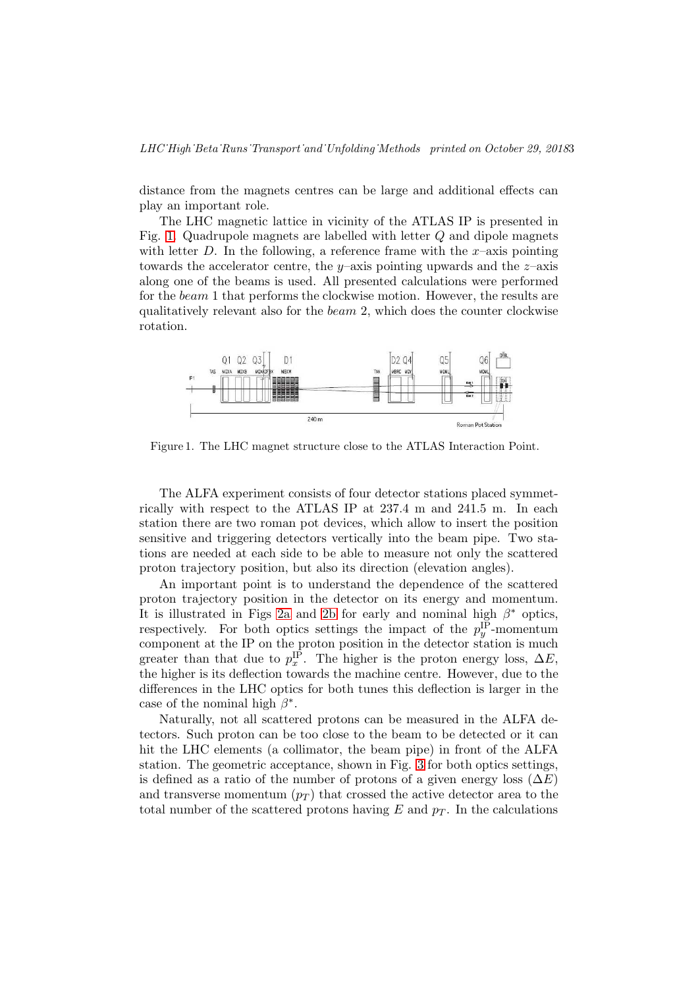distance from the magnets centres can be large and additional effects can play an important role.

The LHC magnetic lattice in vicinity of the ATLAS IP is presented in Fig. [1.](#page-2-0) Quadrupole magnets are labelled with letter Q and dipole magnets with letter D. In the following, a reference frame with the  $x$ -axis pointing towards the accelerator centre, the y–axis pointing upwards and the  $z$ –axis along one of the beams is used. All presented calculations were performed for the beam 1 that performs the clockwise motion. However, the results are qualitatively relevant also for the beam 2, which does the counter clockwise rotation.



<span id="page-2-0"></span>Figure 1. The LHC magnet structure close to the ATLAS Interaction Point.

The ALFA experiment consists of four detector stations placed symmetrically with respect to the ATLAS IP at 237.4 m and 241.5 m. In each station there are two roman pot devices, which allow to insert the position sensitive and triggering detectors vertically into the beam pipe. Two stations are needed at each side to be able to measure not only the scattered proton trajectory position, but also its direction (elevation angles).

An important point is to understand the dependence of the scattered proton trajectory position in the detector on its energy and momentum. It is illustrated in Figs [2a](#page-3-0) and [2b](#page-3-1) for early and nominal high  $\beta^*$  optics, respectively. For both optics settings the impact of the  $p_u^{\text{IP}}$  $y^{\text{IP}}$ -momentum component at the IP on the proton position in the detector station is much greater than that due to  $p_x^{\text{IP}}$ <sup>IP</sup>. The higher is the proton energy loss,  $\Delta E$ , the higher is its deflection towards the machine centre. However, due to the differences in the LHC optics for both tunes this deflection is larger in the case of the nominal high  $\beta^*$ .

Naturally, not all scattered protons can be measured in the ALFA detectors. Such proton can be too close to the beam to be detected or it can hit the LHC elements (a collimator, the beam pipe) in front of the ALFA station. The geometric acceptance, shown in Fig. [3](#page-4-0) for both optics settings, is defined as a ratio of the number of protons of a given energy loss  $(\Delta E)$ and transverse momentum  $(p_T)$  that crossed the active detector area to the total number of the scattered protons having E and  $p_T$ . In the calculations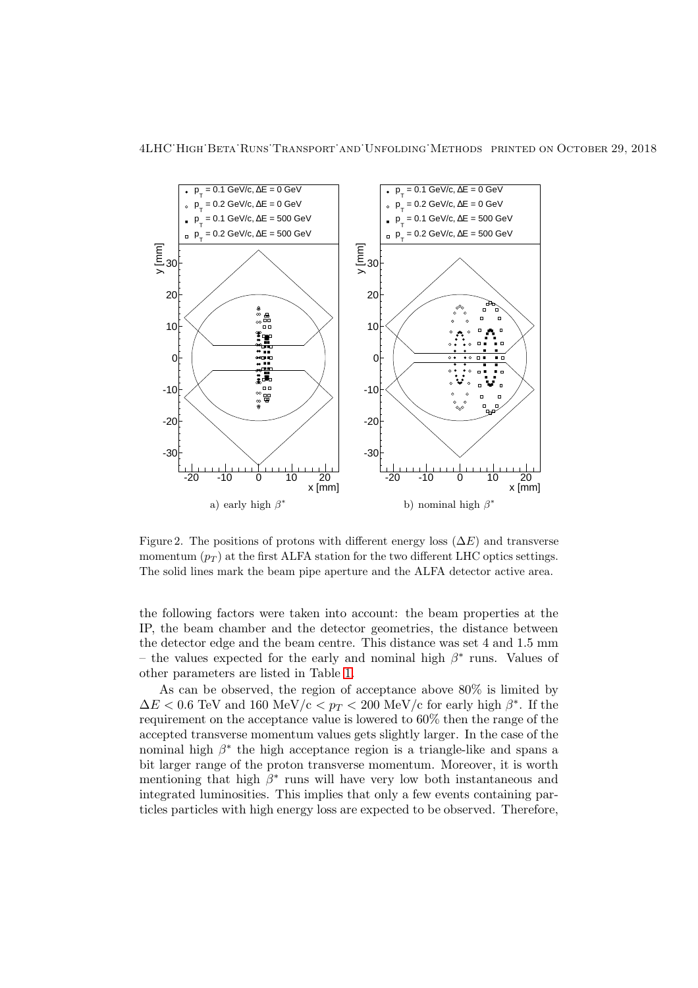<span id="page-3-0"></span>

Figure 2. The positions of protons with different energy loss  $(\Delta E)$  and transverse momentum  $(p_T)$  at the first ALFA station for the two different LHC optics settings. The solid lines mark the beam pipe aperture and the ALFA detector active area.

-30

-20

 $-10$ 

 $\Omega$ 

10

x [mm]

 $\Box$ 

<span id="page-3-1"></span>-20 -10 0 10 20

 $\circ$  $\overline{a}$  $\overline{a}$ 

b) nominal high  $\beta^*$ 

x [mm]

-20 -10 0 10 20

'o o

 $T$  $\sum_{n=0}^{\infty}$ 

 $\ddot{\bm{s}}$ n n  $\infty$ 

a) early high  $\beta^*$ 

-30

-20

 $-10$ 

0

10

the following factors were taken into account: the beam properties at the IP, the beam chamber and the detector geometries, the distance between the detector edge and the beam centre. This distance was set 4 and 1.5 mm – the values expected for the early and nominal high  $\beta^*$  runs. Values of other parameters are listed in Table [1.](#page-4-1)

As can be observed, the region of acceptance above 80% is limited by  $\Delta E < 0.6$  TeV and  $160 \text{ MeV/c} < p_T < 200 \text{ MeV/c}$  for early high  $\beta^*$ . If the requirement on the acceptance value is lowered to 60% then the range of the accepted transverse momentum values gets slightly larger. In the case of the nominal high  $\beta^*$  the high acceptance region is a triangle-like and spans a bit larger range of the proton transverse momentum. Moreover, it is worth mentioning that high  $\beta^*$  runs will have very low both instantaneous and integrated luminosities. This implies that only a few events containing particles particles with high energy loss are expected to be observed. Therefore,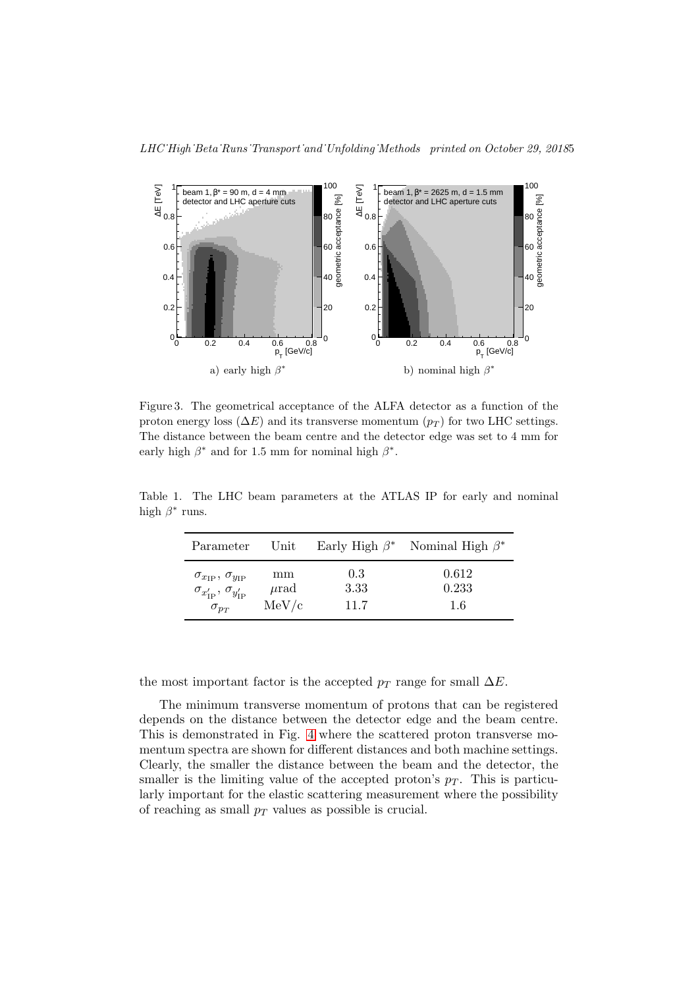

<span id="page-4-0"></span>Figure 3. The geometrical acceptance of the ALFA detector as a function of the proton energy loss ( $\Delta E$ ) and its transverse momentum ( $p_T$ ) for two LHC settings. The distance between the beam centre and the detector edge was set to 4 mm for early high  $\beta^*$  and for 1.5 mm for nominal high  $\beta^*$ .

high  $\beta^*$  runs. <sup>\*</sup> Nominal High  $\beta$ ∗

Table 1. The LHC beam parameters at the ATLAS IP for early and nominal

<span id="page-4-1"></span>

| Parameter                                          | Unit      |      | Early High $\beta^*$ Nominal High $\beta^*$ |
|----------------------------------------------------|-----------|------|---------------------------------------------|
| $\sigma_{x_{\text{IP}}}, \sigma_{y_{\text{IP}}}$   | mm        | 0.3  | 0.612                                       |
| $\sigma_{x'_{\text{IP}}}, \sigma_{y'_{\text{IP}}}$ | $\mu$ rad | 3.33 | 0.233                                       |
| $\sigma_{p_T}$                                     | MeV/c     | 11.7 | 1.6                                         |

the most important factor is the accepted  $p_T$  range for small  $\Delta E$ .

The minimum transverse momentum of protons that can be registered depends on the distance between the detector edge and the beam centre. This is demonstrated in Fig. [4](#page-5-0) where the scattered proton transverse momentum spectra are shown for different distances and both machine settings. Clearly, the smaller the distance between the beam and the detector, the smaller is the limiting value of the accepted proton's  $p_T$ . This is particularly important for the elastic scattering measurement where the possibility of reaching as small  $p_T$  values as possible is crucial.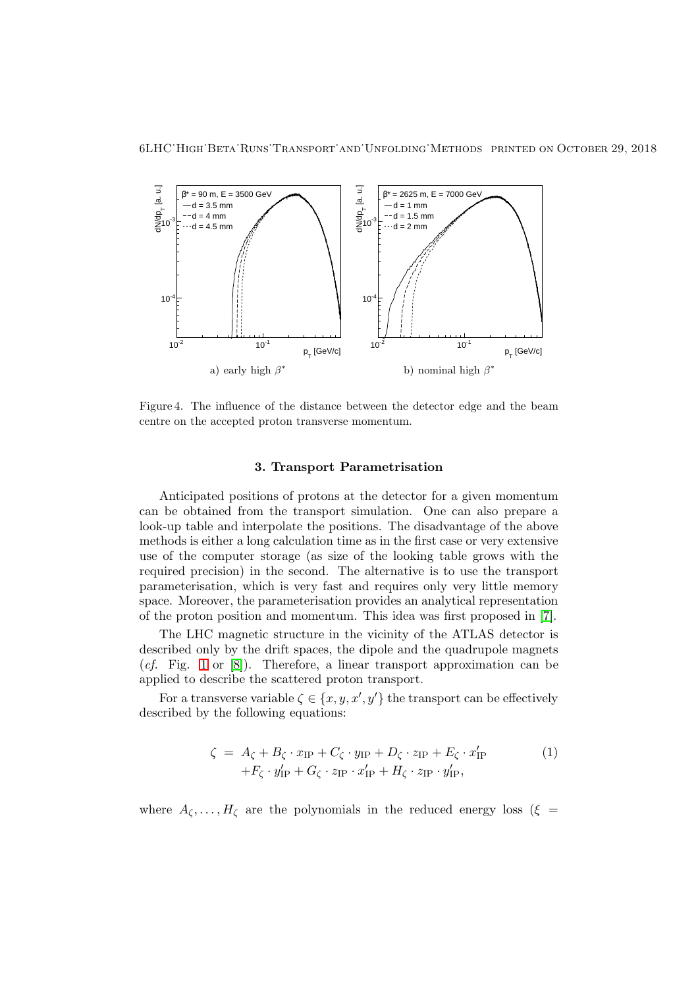

<span id="page-5-0"></span>Figure 4. The influence of the distance between the detector edge and the beam centre on the accepted proton transverse momentum.

## 3. Transport Parametrisation

Anticipated positions of protons at the detector for a given momentum can be obtained from the transport simulation. One can also prepare a look-up table and interpolate the positions. The disadvantage of the above methods is either a long calculation time as in the first case or very extensive use of the computer storage (as size of the looking table grows with the required precision) in the second. The alternative is to use the transport parameterisation, which is very fast and requires only very little memory space. Moreover, the parameterisation provides an analytical representation of the proton position and momentum. This idea was first proposed in [\[7\]](#page-11-6).

The LHC magnetic structure in the vicinity of the ATLAS detector is described only by the drift spaces, the dipole and the quadrupole magnets  $(cf.$  Fig. [1](#page-2-0) or  $[8]$ ). Therefore, a linear transport approximation can be applied to describe the scattered proton transport.

For a transverse variable  $\zeta \in \{x, y, x', y'\}$  the transport can be effectively described by the following equations:

<span id="page-5-1"></span>
$$
\zeta = A_{\zeta} + B_{\zeta} \cdot x_{IP} + C_{\zeta} \cdot y_{IP} + D_{\zeta} \cdot z_{IP} + E_{\zeta} \cdot x'_{IP}
$$
  
+
$$
F_{\zeta} \cdot y'_{IP} + G_{\zeta} \cdot z_{IP} \cdot x'_{IP} + H_{\zeta} \cdot z_{IP} \cdot y'_{IP},
$$
 (1)

where  $A_{\zeta}, \ldots, H_{\zeta}$  are the polynomials in the reduced energy loss ( $\xi =$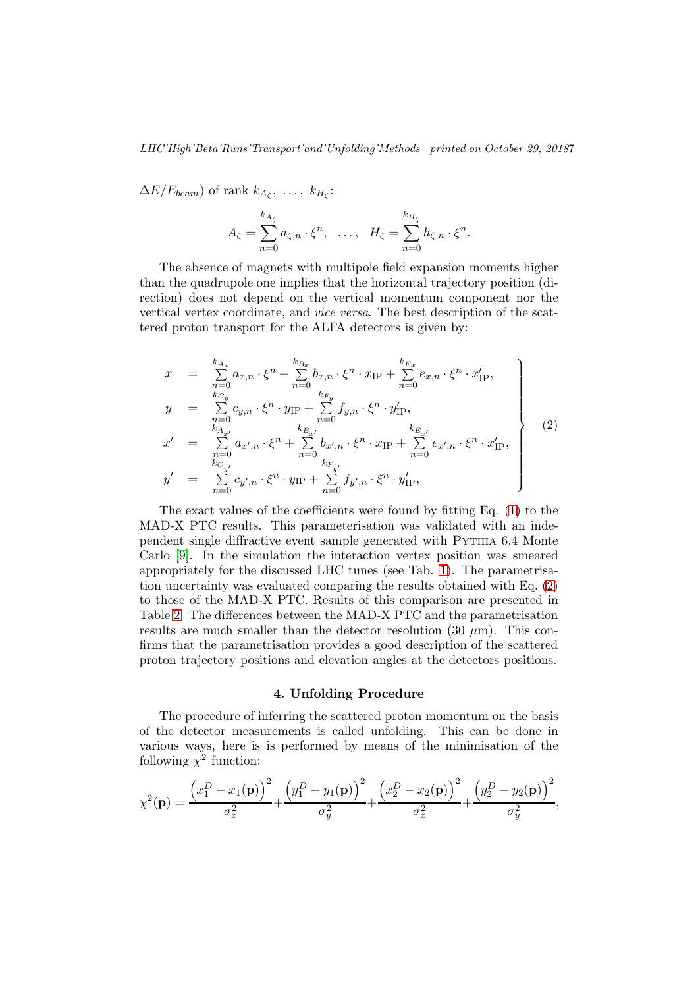$\Delta E/E_{beam}$ ) of rank  $k_{A_{\zeta}}, \ldots, k_{H_{\zeta}}$ :

$$
A_{\zeta} = \sum_{n=0}^{k_{A_{\zeta}}} a_{\zeta,n} \cdot \xi^{n}, \quad \ldots, \quad H_{\zeta} = \sum_{n=0}^{k_{H_{\zeta}}} h_{\zeta,n} \cdot \xi^{n}.
$$

The absence of magnets with multipole field expansion moments higher than the quadrupole one implies that the horizontal trajectory position (direction) does not depend on the vertical momentum component nor the vertical vertex coordinate, and vice versa. The best description of the scattered proton transport for the ALFA detectors is given by:

<span id="page-6-0"></span>
$$
x = \sum_{n=0}^{k_{Ax}} a_{x,n} \cdot \xi^{n} + \sum_{n=0}^{k_{Bx}} b_{x,n} \cdot \xi^{n} \cdot x_{IP} + \sum_{n=0}^{k_{Ex}} e_{x,n} \cdot \xi^{n} \cdot x'_{IP},
$$
  
\n
$$
y = \sum_{n=0}^{k_{Cy}} c_{y,n} \cdot \xi^{n} \cdot y_{IP} + \sum_{n=0}^{k_{Fy}} f_{y,n} \cdot \xi^{n} \cdot y'_{IP},
$$
  
\n
$$
x' = \sum_{n=0}^{k_{Ax'}} a_{x',n} \cdot \xi^{n} + \sum_{n=0}^{k_{B_{x'}}} b_{x',n} \cdot \xi^{n} \cdot x_{IP} + \sum_{n=0}^{k_{E_{x'}}} e_{x',n} \cdot \xi^{n} \cdot x'_{IP},
$$
  
\n
$$
y' = \sum_{n=0}^{k_{Cy'}} c_{y',n} \cdot \xi^{n} \cdot y_{IP} + \sum_{n=0}^{k_{F_{y'}}} f_{y',n} \cdot \xi^{n} \cdot y'_{IP},
$$
  
\n(2)

The exact values of the coefficients were found by fitting Eq. [\(1\)](#page-5-1) to the MAD-X PTC results. This parameterisation was validated with an independent single diffractive event sample generated with Pythia 6.4 Monte Carlo [\[9\]](#page-11-8). In the simulation the interaction vertex position was smeared appropriately for the discussed LHC tunes (see Tab. [1\)](#page-4-1). The parametrisation uncertainty was evaluated comparing the results obtained with Eq. [\(2\)](#page-6-0) to those of the MAD-X PTC. Results of this comparison are presented in Table [2.](#page-7-0) The differences between the MAD-X PTC and the parametrisation results are much smaller than the detector resolution  $(30 \mu m)$ . This confirms that the parametrisation provides a good description of the scattered proton trajectory positions and elevation angles at the detectors positions.

#### 4. Unfolding Procedure

The procedure of inferring the scattered proton momentum on the basis of the detector measurements is called unfolding. This can be done in various ways, here is is performed by means of the minimisation of the following  $\chi^2$  function:

$$
\chi^{2}(\mathbf{p}) = \frac{(x_1^D - x_1(\mathbf{p}))^2}{\sigma_x^2} + \frac{(y_1^D - y_1(\mathbf{p}))^2}{\sigma_y^2} + \frac{(x_2^D - x_2(\mathbf{p}))^2}{\sigma_x^2} + \frac{(y_2^D - y_2(\mathbf{p}))^2}{\sigma_y^2},
$$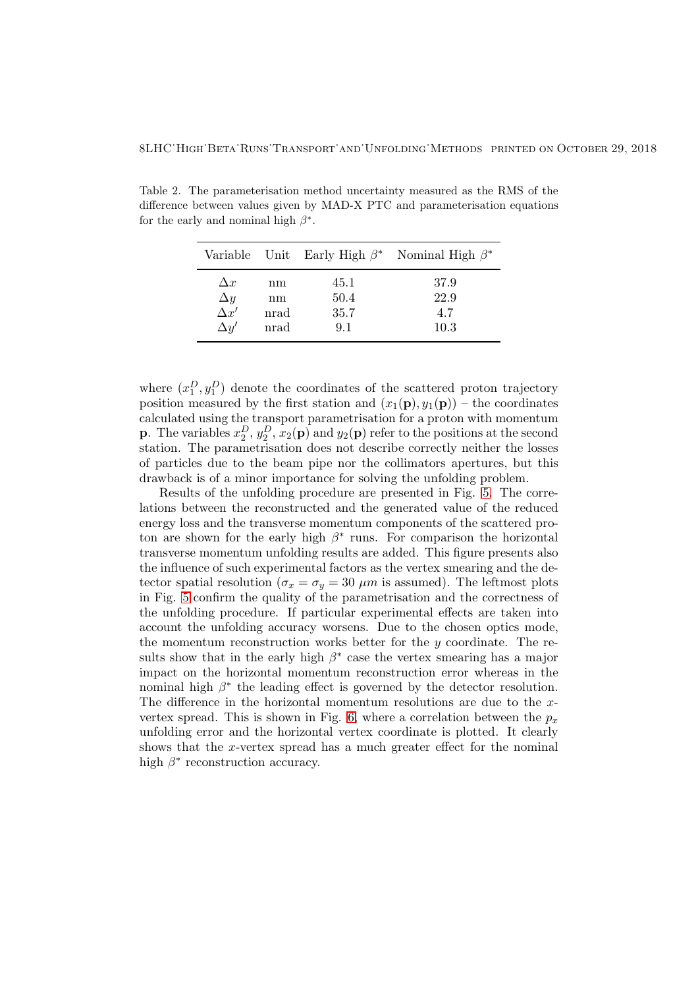Table 2. The parameterisation method uncertainty measured as the RMS of the difference between values given by MAD-X PTC and parameterisation equations for the early and nominal high  $\beta^*$ .

<span id="page-7-0"></span>

|                                                        |                          |                             | Variable Unit Early High $\beta^*$ Nominal High $\beta^*$ |
|--------------------------------------------------------|--------------------------|-----------------------------|-----------------------------------------------------------|
| $\Delta x$<br>$\Delta y$<br>$\Delta x'$<br>$\Delta y'$ | nm<br>nm<br>nrad<br>nrad | 45.1<br>50.4<br>35.7<br>9.1 | 37.9<br>22.9<br>4.7<br>10.3                               |

where  $(x_1^D, y_1^D)$  denote the coordinates of the scattered proton trajectory position measured by the first station and  $(x_1(\mathbf{p}), y_1(\mathbf{p}))$  – the coordinates calculated using the transport parametrisation for a proton with momentum **p**. The variables  $x_2^D, y_2^D, x_2(\mathbf{p})$  and  $y_2(\mathbf{p})$  refer to the positions at the second station. The parametrisation does not describe correctly neither the losses of particles due to the beam pipe nor the collimators apertures, but this drawback is of a minor importance for solving the unfolding problem.

Results of the unfolding procedure are presented in Fig. [5.](#page-8-0) The correlations between the reconstructed and the generated value of the reduced energy loss and the transverse momentum components of the scattered proton are shown for the early high  $\beta^*$  runs. For comparison the horizontal transverse momentum unfolding results are added. This figure presents also the influence of such experimental factors as the vertex smearing and the detector spatial resolution ( $\sigma_x = \sigma_y = 30 \ \mu m$  is assumed). The leftmost plots in Fig. [5](#page-8-0) confirm the quality of the parametrisation and the correctness of the unfolding procedure. If particular experimental effects are taken into account the unfolding accuracy worsens. Due to the chosen optics mode, the momentum reconstruction works better for the  $y$  coordinate. The results show that in the early high  $\beta^*$  case the vertex smearing has a major impact on the horizontal momentum reconstruction error whereas in the nominal high  $\beta^*$  the leading effect is governed by the detector resolution. The difference in the horizontal momentum resolutions are due to the x-vertex spread. This is shown in Fig. [6,](#page-9-0) where a correlation between the  $p_x$ unfolding error and the horizontal vertex coordinate is plotted. It clearly shows that the x-vertex spread has a much greater effect for the nominal high  $\beta^*$  reconstruction accuracy.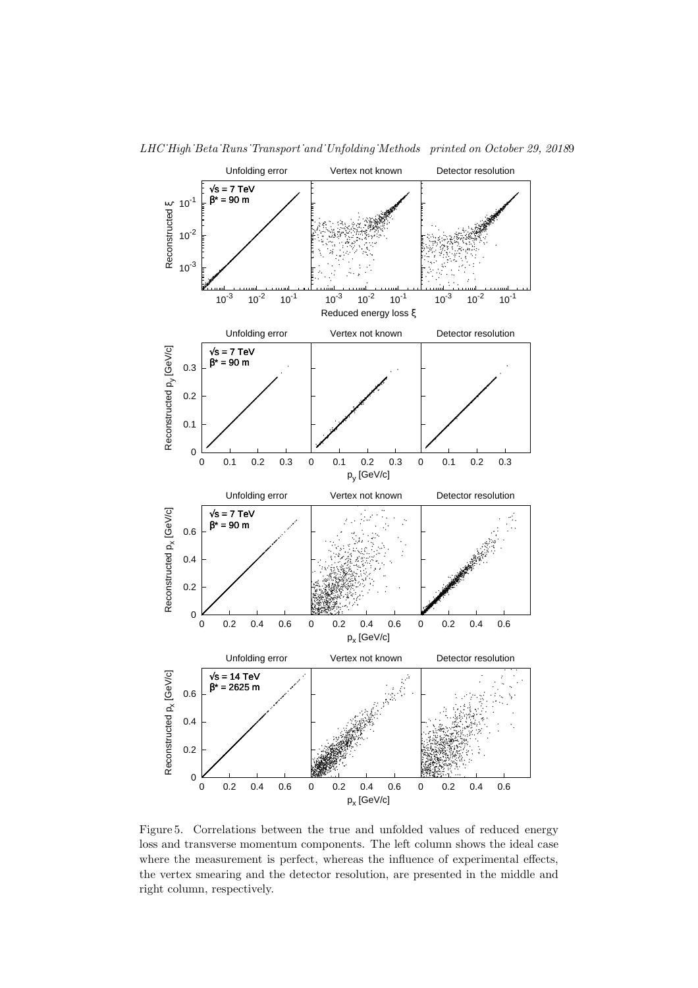

LHC˙High˙Beta˙Runs˙Transport˙and˙Unfolding˙Methods printed on October 29, 20189

<span id="page-8-0"></span>Figure 5. Correlations between the true and unfolded values of reduced energy loss and transverse momentum components. The left column shows the ideal case where the measurement is perfect, whereas the influence of experimental effects, the vertex smearing and the detector resolution, are presented in the middle and right column, respectively.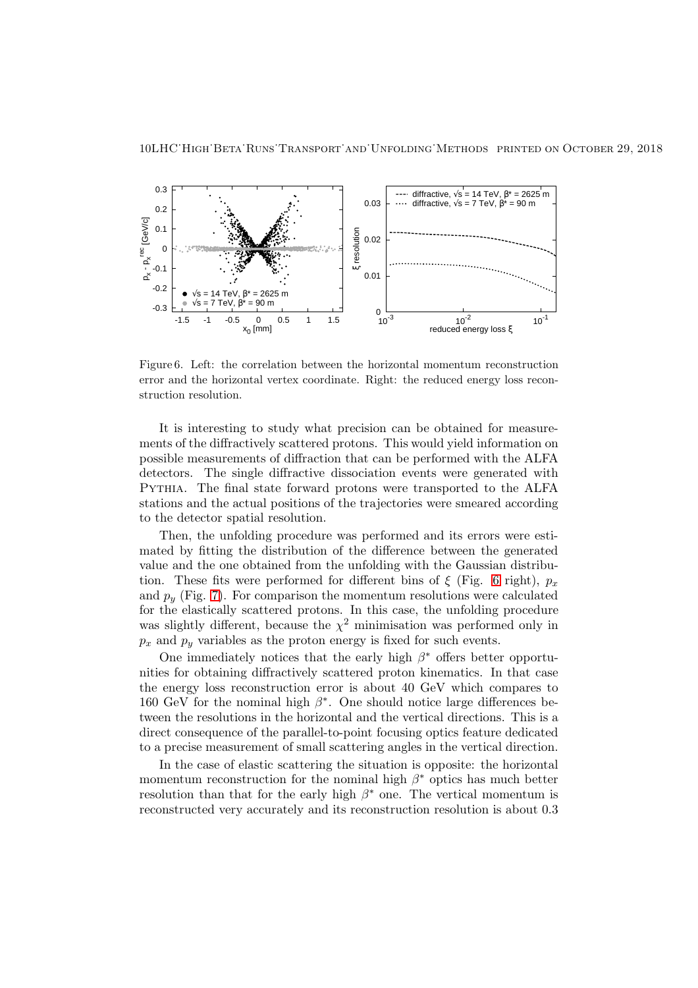

<span id="page-9-0"></span>Figure 6. Left: the correlation between the horizontal momentum reconstruction error and the horizontal vertex coordinate. Right: the reduced energy loss reconstruction resolution.

It is interesting to study what precision can be obtained for measurements of the diffractively scattered protons. This would yield information on possible measurements of diffraction that can be performed with the ALFA detectors. The single diffractive dissociation events were generated with Pythia. The final state forward protons were transported to the ALFA stations and the actual positions of the trajectories were smeared according to the detector spatial resolution.

Then, the unfolding procedure was performed and its errors were estimated by fitting the distribution of the difference between the generated value and the one obtained from the unfolding with the Gaussian distribution. These fits were performed for different bins of  $\xi$  (Fig. [6](#page-9-0) right),  $p_x$ and  $p_u$  (Fig. [7\)](#page-10-0). For comparison the momentum resolutions were calculated for the elastically scattered protons. In this case, the unfolding procedure was slightly different, because the  $\chi^2$  minimisation was performed only in  $p_x$  and  $p_y$  variables as the proton energy is fixed for such events.

One immediately notices that the early high  $\beta^*$  offers better opportunities for obtaining diffractively scattered proton kinematics. In that case the energy loss reconstruction error is about 40 GeV which compares to 160 GeV for the nominal high  $\beta^*$ . One should notice large differences between the resolutions in the horizontal and the vertical directions. This is a direct consequence of the parallel-to-point focusing optics feature dedicated to a precise measurement of small scattering angles in the vertical direction.

In the case of elastic scattering the situation is opposite: the horizontal momentum reconstruction for the nominal high  $\beta^*$  optics has much better resolution than that for the early high  $\beta^*$  one. The vertical momentum is reconstructed very accurately and its reconstruction resolution is about 0.3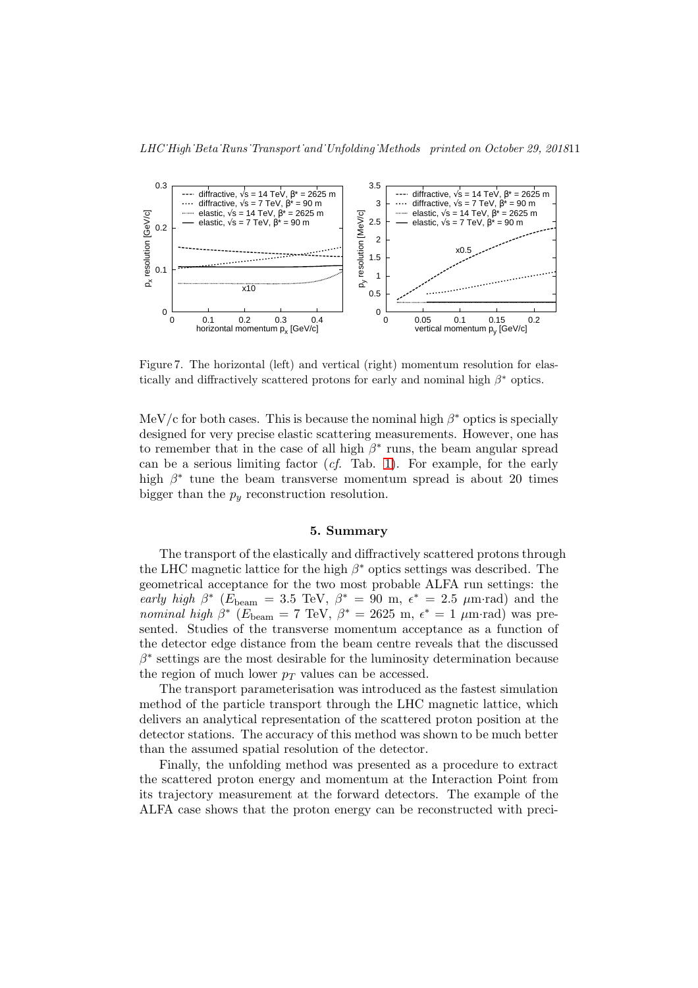LHC˙High˙Beta Runs˙Transport and Unfolding Methods printed on October 29, 201811



<span id="page-10-0"></span>Figure 7. The horizontal (left) and vertical (right) momentum resolution for elastically and diffractively scattered protons for early and nominal high  $\beta^*$  optics.

MeV/c for both cases. This is because the nominal high  $\beta^*$  optics is specially designed for very precise elastic scattering measurements. However, one has to remember that in the case of all high  $\beta^*$  runs, the beam angular spread can be a serious limiting factor  $(cf.$  Tab. [1\)](#page-4-1). For example, for the early high  $\beta^*$  tune the beam transverse momentum spread is about 20 times bigger than the  $p_y$  reconstruction resolution.

### 5. Summary

The transport of the elastically and diffractively scattered protons through the LHC magnetic lattice for the high  $\beta^*$  optics settings was described. The geometrical acceptance for the two most probable ALFA run settings: the early high  $\beta^*$  ( $\vec{E}_{\text{beam}} = 3.5 \text{ TeV}, \ \beta^* = 90 \text{ m}, \ \epsilon^* = 2.5 \text{ }\mu\text{m-rad}$ ) and the nominal high  $\beta^*$  ( $E_{\text{beam}} = 7 \text{ TeV}$ ,  $\beta^* = 2625 \text{ m}$ ,  $\epsilon^* = 1 \text{ \mu m-rad}$ ) was presented. Studies of the transverse momentum acceptance as a function of the detector edge distance from the beam centre reveals that the discussed  $\beta^*$  settings are the most desirable for the luminosity determination because the region of much lower  $p_T$  values can be accessed.

The transport parameterisation was introduced as the fastest simulation method of the particle transport through the LHC magnetic lattice, which delivers an analytical representation of the scattered proton position at the detector stations. The accuracy of this method was shown to be much better than the assumed spatial resolution of the detector.

Finally, the unfolding method was presented as a procedure to extract the scattered proton energy and momentum at the Interaction Point from its trajectory measurement at the forward detectors. The example of the ALFA case shows that the proton energy can be reconstructed with preci